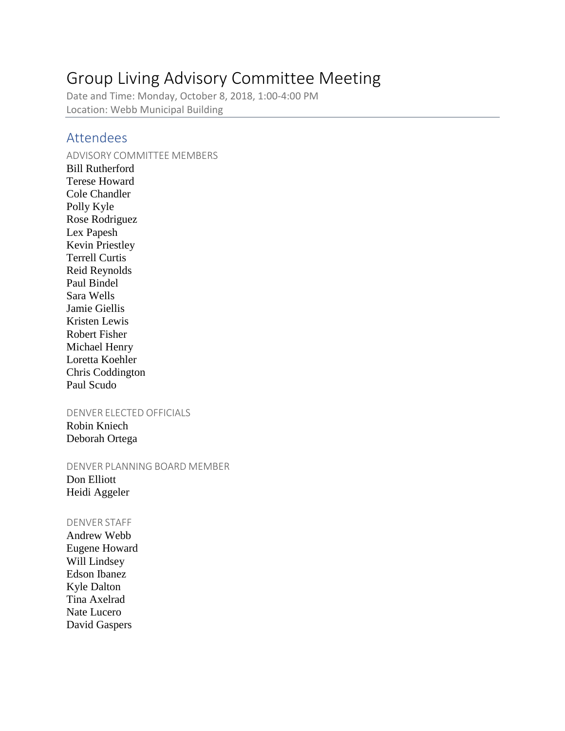# Group Living Advisory Committee Meeting

Date and Time: Monday, October 8, 2018, 1:00-4:00 PM Location: Webb Municipal Building

## Attendees

#### ADVISORY COMMITTEE MEMBERS

Bill Rutherford Terese Howard Cole Chandler Polly Kyle Rose Rodriguez Lex Papesh Kevin Priestley Terrell Curtis Reid Reynolds Paul Bindel Sara Wells Jamie Giellis Kristen Lewis Robert Fisher Michael Henry Loretta Koehler Chris Coddington Paul Scudo

#### DENVER ELECTED OFFICIALS

Robin Kniech Deborah Ortega

DENVER PLANNING BOARD MEMBER

Don Elliott Heidi Aggeler

#### DENVER STAFF

Andrew Webb Eugene Howard Will Lindsey Edson Ibanez Kyle Dalton Tina Axelrad Nate Lucero David Gaspers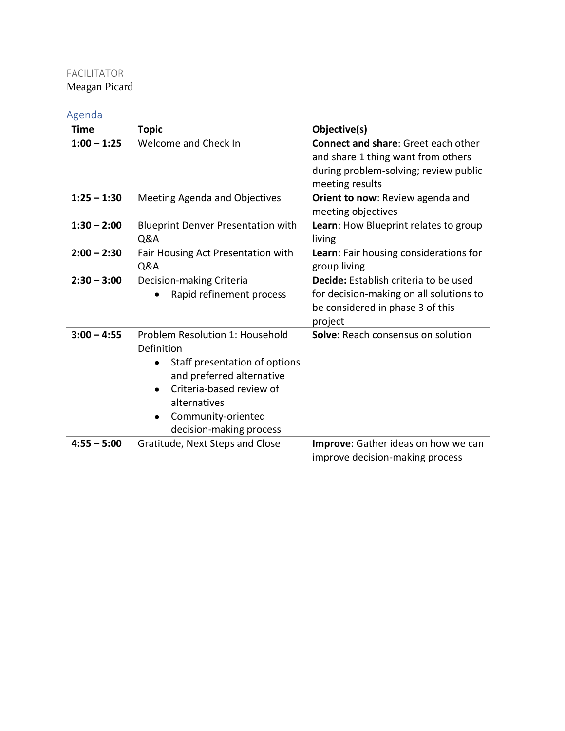## FACILITATOR

Meagan Picard

## Agenda

| Time          | <b>Topic</b>                                                                                                                                                                                                               | Objective(s)                                                                                                                                 |
|---------------|----------------------------------------------------------------------------------------------------------------------------------------------------------------------------------------------------------------------------|----------------------------------------------------------------------------------------------------------------------------------------------|
| $1:00 - 1:25$ | Welcome and Check In                                                                                                                                                                                                       | <b>Connect and share: Greet each other</b><br>and share 1 thing want from others<br>during problem-solving; review public<br>meeting results |
| $1:25 - 1:30$ | Meeting Agenda and Objectives                                                                                                                                                                                              | Orient to now: Review agenda and<br>meeting objectives                                                                                       |
| $1:30 - 2:00$ | <b>Blueprint Denver Presentation with</b><br>Q&A                                                                                                                                                                           | Learn: How Blueprint relates to group<br>living                                                                                              |
| $2:00 - 2:30$ | Fair Housing Act Presentation with<br>Q&A                                                                                                                                                                                  | Learn: Fair housing considerations for<br>group living                                                                                       |
| $2:30 - 3:00$ | Decision-making Criteria<br>Rapid refinement process                                                                                                                                                                       | Decide: Establish criteria to be used<br>for decision-making on all solutions to<br>be considered in phase 3 of this<br>project              |
| $3:00 - 4:55$ | Problem Resolution 1: Household<br>Definition<br>Staff presentation of options<br>and preferred alternative<br>Criteria-based review of<br>$\bullet$<br>alternatives<br>Community-oriented<br>٠<br>decision-making process | Solve: Reach consensus on solution                                                                                                           |
| $4:55 - 5:00$ | Gratitude, Next Steps and Close                                                                                                                                                                                            | <b>Improve:</b> Gather ideas on how we can<br>improve decision-making process                                                                |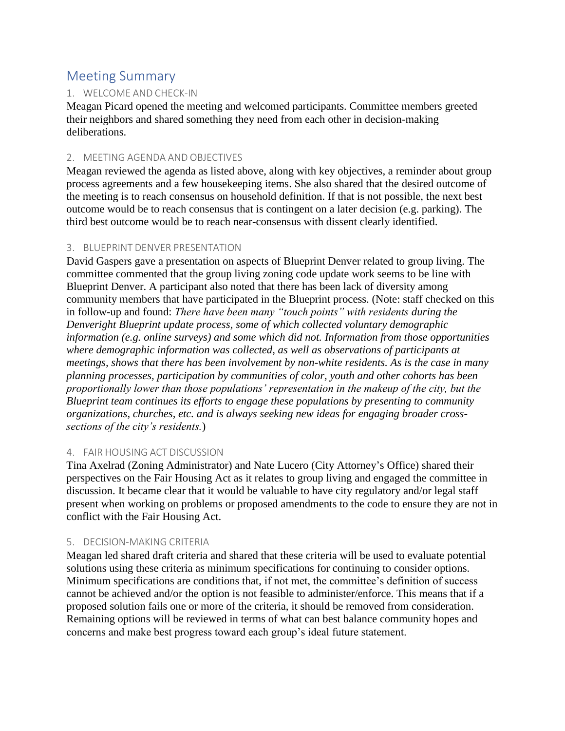## Meeting Summary

## 1. WELCOME AND CHECK-IN

Meagan Picard opened the meeting and welcomed participants. Committee members greeted their neighbors and shared something they need from each other in decision-making deliberations.

#### 2. MEETING AGENDA AND OBJECTIVES

Meagan reviewed the agenda as listed above, along with key objectives, a reminder about group process agreements and a few housekeeping items. She also shared that the desired outcome of the meeting is to reach consensus on household definition. If that is not possible, the next best outcome would be to reach consensus that is contingent on a later decision (e.g. parking). The third best outcome would be to reach near-consensus with dissent clearly identified.

#### 3. BLUEPRINT DENVER PRESENTATION

David Gaspers gave a presentation on aspects of Blueprint Denver related to group living. The committee commented that the group living zoning code update work seems to be line with Blueprint Denver. A participant also noted that there has been lack of diversity among community members that have participated in the Blueprint process. (Note: staff checked on this in follow-up and found: *There have been many "touch points" with residents during the Denveright Blueprint update process, some of which collected voluntary demographic information (e.g. online surveys) and some which did not. Information from those opportunities where demographic information was collected, as well as observations of participants at meetings, shows that there has been involvement by non-white residents. As is the case in many planning processes, participation by communities of color, youth and other cohorts has been proportionally lower than those populations' representation in the makeup of the city, but the Blueprint team continues its efforts to engage these populations by presenting to community organizations, churches, etc. and is always seeking new ideas for engaging broader crosssections of the city's residents.*)

#### 4. FAIR HOUSING ACT DISCUSSION

Tina Axelrad (Zoning Administrator) and Nate Lucero (City Attorney's Office) shared their perspectives on the Fair Housing Act as it relates to group living and engaged the committee in discussion. It became clear that it would be valuable to have city regulatory and/or legal staff present when working on problems or proposed amendments to the code to ensure they are not in conflict with the Fair Housing Act.

#### 5. DECISION-MAKING CRITERIA

Meagan led shared draft criteria and shared that these criteria will be used to evaluate potential solutions using these criteria as minimum specifications for continuing to consider options. Minimum specifications are conditions that, if not met, the committee's definition of success cannot be achieved and/or the option is not feasible to administer/enforce. This means that if a proposed solution fails one or more of the criteria, it should be removed from consideration. Remaining options will be reviewed in terms of what can best balance community hopes and concerns and make best progress toward each group's ideal future statement.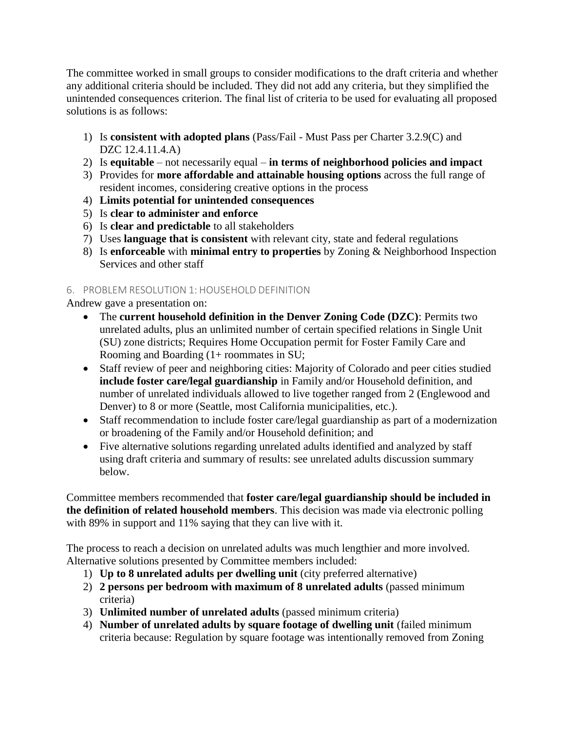The committee worked in small groups to consider modifications to the draft criteria and whether any additional criteria should be included. They did not add any criteria, but they simplified the unintended consequences criterion. The final list of criteria to be used for evaluating all proposed solutions is as follows:

- 1) Is **consistent with adopted plans** (Pass/Fail Must Pass per Charter 3.2.9(C) and DZC 12.4.11.4.A)
- 2) Is **equitable**  not necessarily equal **in terms of neighborhood policies and impact**
- 3) Provides for **more affordable and attainable housing options** across the full range of resident incomes, considering creative options in the process
- 4) **Limits potential for unintended consequences**
- 5) Is **clear to administer and enforce**
- 6) Is **clear and predictable** to all stakeholders
- 7) Uses **language that is consistent** with relevant city, state and federal regulations
- 8) Is **enforceable** with **minimal entry to properties** by Zoning & Neighborhood Inspection Services and other staff

## 6. PROBLEM RESOLUTION 1: HOUSEHOLD DEFINITION

Andrew gave a presentation on:

- The **current household definition in the Denver Zoning Code (DZC)**: Permits two unrelated adults, plus an unlimited number of certain specified relations in Single Unit (SU) zone districts; Requires Home Occupation permit for Foster Family Care and Rooming and Boarding (1+ roommates in SU;
- Staff review of peer and neighboring cities: Majority of Colorado and peer cities studied **include foster care/legal guardianship** in Family and/or Household definition, and number of unrelated individuals allowed to live together ranged from 2 (Englewood and Denver) to 8 or more (Seattle, most California municipalities, etc.).
- Staff recommendation to include foster care/legal guardianship as part of a modernization or broadening of the Family and/or Household definition; and
- Five alternative solutions regarding unrelated adults identified and analyzed by staff using draft criteria and summary of results: see unrelated adults discussion summary below.

Committee members recommended that **foster care/legal guardianship should be included in the definition of related household members**. This decision was made via electronic polling with 89% in support and 11% saying that they can live with it.

The process to reach a decision on unrelated adults was much lengthier and more involved. Alternative solutions presented by Committee members included:

- 1) **Up to 8 unrelated adults per dwelling unit** (city preferred alternative)
- 2) **2 persons per bedroom with maximum of 8 unrelated adults** (passed minimum criteria)
- 3) **Unlimited number of unrelated adults** (passed minimum criteria)
- 4) **Number of unrelated adults by square footage of dwelling unit** (failed minimum criteria because: Regulation by square footage was intentionally removed from Zoning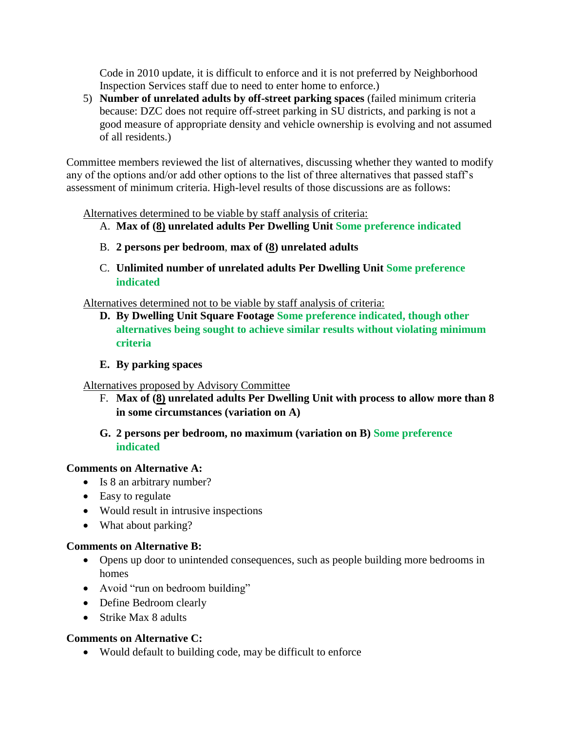Code in 2010 update, it is difficult to enforce and it is not preferred by Neighborhood Inspection Services staff due to need to enter home to enforce.)

5) **Number of unrelated adults by off-street parking spaces** (failed minimum criteria because: DZC does not require off-street parking in SU districts, and parking is not a good measure of appropriate density and vehicle ownership is evolving and not assumed of all residents.)

Committee members reviewed the list of alternatives, discussing whether they wanted to modify any of the options and/or add other options to the list of three alternatives that passed staff's assessment of minimum criteria. High-level results of those discussions are as follows:

Alternatives determined to be viable by staff analysis of criteria:

- A. **Max of (8) unrelated adults Per Dwelling Unit Some preference indicated**
- B. **2 persons per bedroom**, **max of (8) unrelated adults**
- C. **Unlimited number of unrelated adults Per Dwelling Unit Some preference indicated**

Alternatives determined not to be viable by staff analysis of criteria:

- **D. By Dwelling Unit Square Footage Some preference indicated, though other alternatives being sought to achieve similar results without violating minimum criteria**
- **E. By parking spaces**

Alternatives proposed by Advisory Committee

F. **Max of (8) unrelated adults Per Dwelling Unit with process to allow more than 8 in some circumstances (variation on A)**

### **G. 2 persons per bedroom, no maximum (variation on B) Some preference indicated**

### **Comments on Alternative A:**

- Is 8 an arbitrary number?
- Easy to regulate
- Would result in intrusive inspections
- What about parking?

#### **Comments on Alternative B:**

- Opens up door to unintended consequences, such as people building more bedrooms in homes
- Avoid "run on bedroom building"
- Define Bedroom clearly
- Strike Max 8 adults

#### **Comments on Alternative C:**

• Would default to building code, may be difficult to enforce